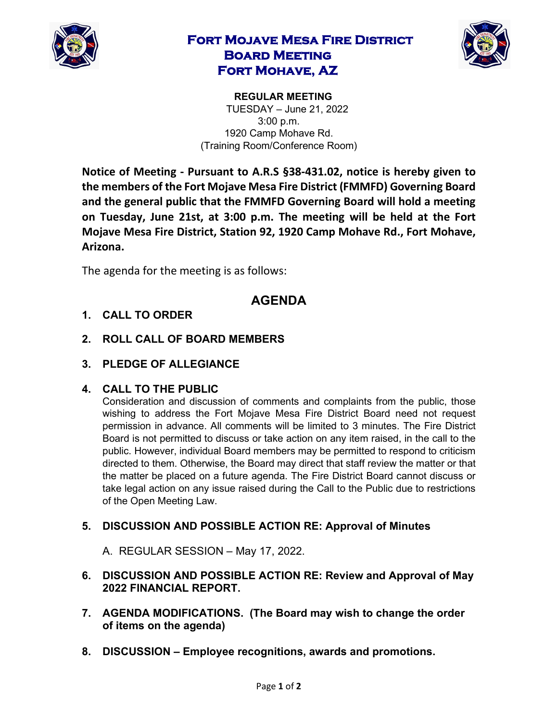

# **Fort Mojave Mesa Fire District Board Meeting Fort Mohave, AZ**



**REGULAR MEETING**  TUESDAY – June 21, 2022 3:00 p.m. 1920 Camp Mohave Rd. (Training Room/Conference Room)

**Notice of Meeting - Pursuant to A.R.S §38-431.02, notice is hereby given to the members of the Fort Mojave Mesa Fire District (FMMFD) Governing Board and the general public that the FMMFD Governing Board will hold a meeting on Tuesday, June 21st, at 3:00 p.m. The meeting will be held at the Fort Mojave Mesa Fire District, Station 92, 1920 Camp Mohave Rd., Fort Mohave, Arizona.** 

The agenda for the meeting is as follows:

# **AGENDA**

- **1. CALL TO ORDER**
- **2. ROLL CALL OF BOARD MEMBERS**
- **3. PLEDGE OF ALLEGIANCE**

#### **4. CALL TO THE PUBLIC**

Consideration and discussion of comments and complaints from the public, those wishing to address the Fort Mojave Mesa Fire District Board need not request permission in advance. All comments will be limited to 3 minutes. The Fire District Board is not permitted to discuss or take action on any item raised, in the call to the public. However, individual Board members may be permitted to respond to criticism directed to them. Otherwise, the Board may direct that staff review the matter or that the matter be placed on a future agenda. The Fire District Board cannot discuss or take legal action on any issue raised during the Call to the Public due to restrictions of the Open Meeting Law.

### **5. DISCUSSION AND POSSIBLE ACTION RE: Approval of Minutes**

A. REGULAR SESSION – May 17, 2022.

- **6. DISCUSSION AND POSSIBLE ACTION RE: Review and Approval of May 2022 FINANCIAL REPORT.**
- **7. AGENDA MODIFICATIONS. (The Board may wish to change the order of items on the agenda)**
- **8. DISCUSSION – Employee recognitions, awards and promotions.**